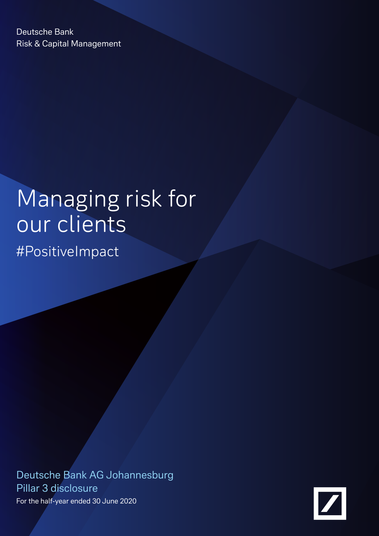Deutsche Bank Risk & Capital Management

# Managing risk for our clients

#PositiveImpact

Deutsche Bank AG Johannesburg Pillar 3 disclosure For the half-year ended 30 June 2020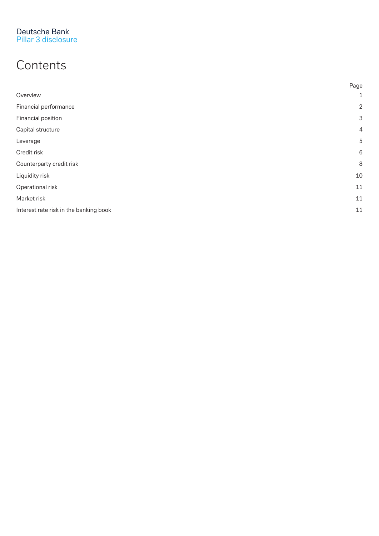## **Contents**

|                                        | Page                      |
|----------------------------------------|---------------------------|
| Overview                               | $\mathbf{1}$              |
| Financial performance                  | $\overline{2}$            |
| Financial position                     | $\ensuremath{\mathsf{3}}$ |
| Capital structure                      | 4                         |
| Leverage                               | 5                         |
| Credit risk                            | 6                         |
| Counterparty credit risk               | 8                         |
| Liquidity risk                         | 10                        |
| Operational risk                       | 11                        |
| Market risk                            | 11                        |
| Interest rate risk in the banking book | 11                        |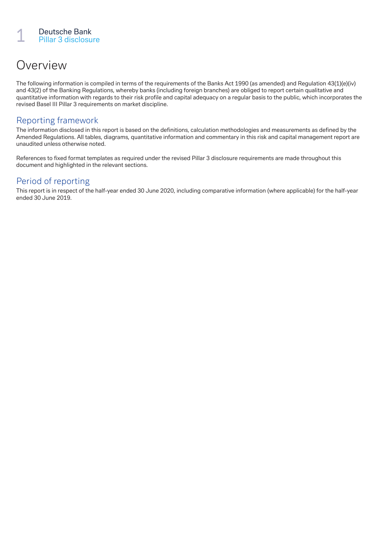## Overview

The following information is compiled in terms of the requirements of the Banks Act 1990 (as amended) and Regulation 43(1)(e)(iv) and 43(2) of the Banking Regulations, whereby banks (including foreign branches) are obliged to report certain qualitative and quantitative information with regards to their risk profile and capital adequacy on a regular basis to the public, which incorporates the revised Basel III Pillar 3 requirements on market discipline.

#### Reporting framework

The information disclosed in this report is based on the definitions, calculation methodologies and measurements as defined by the Amended Regulations. All tables, diagrams, quantitative information and commentary in this risk and capital management report are unaudited unless otherwise noted.

References to fixed format templates as required under the revised Pillar 3 disclosure requirements are made throughout this document and highlighted in the relevant sections.

#### Period of reporting

This report is in respect of the half-year ended 30 June 2020, including comparative information (where applicable) for the half-year ended 30 June 2019.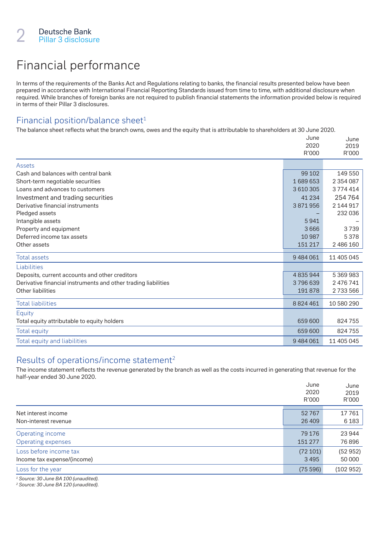## Financial performance

In terms of the requirements of the Banks Act and Regulations relating to banks, the financial results presented below have been prepared in accordance with International Financial Reporting Standards issued from time to time, with additional disclosure when required. While branches of foreign banks are not required to publish financial statements the information provided below is required in terms of their Pillar 3 disclosures.

#### Financial position/balance sheet<sup>1</sup>

The balance sheet reflects what the branch owns, owes and the equity that is attributable to shareholders at 30 June 2020.

|                                                                | June          | June          |
|----------------------------------------------------------------|---------------|---------------|
|                                                                | 2020<br>R'000 | 2019<br>R'000 |
| Assets                                                         |               |               |
| Cash and balances with central bank                            | 99 102        | 149 550       |
| Short-term negotiable securities                               | 1689653       | 2 3 5 4 0 8 7 |
| Loans and advances to customers                                | 3610305       | 3774414       |
| Investment and trading securities                              | 41 2 34       | 254764        |
| Derivative financial instruments                               | 3871956       | 2 144 917     |
| Pledged assets                                                 |               | 232 036       |
| Intangible assets                                              | 5941          |               |
| Property and equipment                                         | 3666          | 3739          |
| Deferred income tax assets                                     | 10 987        | 5378          |
| Other assets                                                   | 151 217       | 2 486 160     |
| <b>Total assets</b>                                            | 9 484 061     | 11 405 045    |
| Liabilities                                                    |               |               |
| Deposits, current accounts and other creditors                 | 4835944       | 5 369 983     |
| Derivative financial instruments and other trading liabilities | 3796639       | 2 476 741     |
| Other liabilities                                              | 191878        | 2733566       |
| <b>Total liabilities</b>                                       | 8 8 2 4 4 6 1 | 10 580 290    |
| Equity                                                         |               |               |
| Total equity attributable to equity holders                    | 659 600       | 824755        |
| <b>Total equity</b>                                            | 659 600       | 824755        |
| <b>Total equity and liabilities</b>                            | 9 484 061     | 11 405 045    |

#### Results of operations/income statement<sup>2</sup>

The income statement reflects the revenue generated by the branch as well as the costs incurred in generating that revenue for the half-year ended 30 June 2020.

|                             | June    | June     |
|-----------------------------|---------|----------|
|                             | 2020    | 2019     |
|                             | R'000   | R'000    |
| Net interest income         | 52767   | 17761    |
| Non-interest revenue        | 26 409  | 6 1 8 3  |
| Operating income            | 79 176  | 23944    |
| <b>Operating expenses</b>   | 151 277 | 76896    |
| Loss before income tax      | (72101) | (52952)  |
| Income tax expense/(income) | 3495    | 50 000   |
| Loss for the year           | (75596) | (102952) |
|                             |         |          |

*1 Source: 30 June BA 100 (unaudited).*

*2 Source: 30 June BA 120 (unaudited).*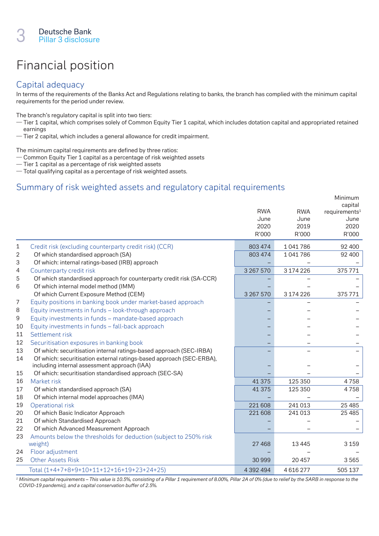## Financial position

#### Capital adequacy

In terms of the requirements of the Banks Act and Regulations relating to banks, the branch has complied with the minimum capital requirements for the period under review.

The branch's regulatory capital is split into two tiers:

- Tier 1 capital, which comprises solely of Common Equity Tier 1 capital, which includes dotation capital and appropriated retained earnings
- Tier 2 capital, which includes a general allowance for credit impairment.

The minimum capital requirements are defined by three ratios:

- Common Equity Tier 1 capital as a percentage of risk weighted assets
- Tier 1 capital as a percentage of risk weighted assets
- Total qualifying capital as a percentage of risk weighted assets.

#### Summary of risk weighted assets and regulatory capital requirements

|                |                                                                      |            |            | Minimum<br>capital        |
|----------------|----------------------------------------------------------------------|------------|------------|---------------------------|
|                |                                                                      | <b>RWA</b> | <b>RWA</b> | requirements <sup>1</sup> |
|                |                                                                      | June       | June       | June                      |
|                |                                                                      | 2020       | 2019       | 2020                      |
|                |                                                                      | R'000      | R'000      | R'000                     |
| 1              | Credit risk (excluding counterparty credit risk) (CCR)               | 803 474    | 1041786    | 92 400                    |
| $\overline{2}$ | Of which standardised approach (SA)                                  | 803 474    | 1041786    | 92 400                    |
| 3              | Of which: internal ratings-based (IRB) approach                      |            |            |                           |
| 4              | Counterparty credit risk                                             | 3 267 570  | 3 174 226  | 375771                    |
| 5              | Of which standardised approach for counterparty credit risk (SA-CCR) |            |            |                           |
| 6              | Of which internal model method (IMM)                                 |            |            |                           |
|                | Of which Current Exposure Method (CEM)                               | 3 267 570  | 3 174 226  | 375771                    |
| 7              | Equity positions in banking book under market-based approach         |            |            |                           |
| 8              | Equity investments in funds - look-through approach                  |            |            |                           |
| 9              | Equity investments in funds - mandate-based approach                 |            |            |                           |
| 10             | Equity investments in funds - fall-back approach                     |            |            |                           |
| 11             | Settlement risk                                                      |            |            |                           |
| 12             | Securitisation exposures in banking book                             |            |            |                           |
| 13             | Of which: securitisation internal ratings-based approach (SEC-IRBA)  |            |            |                           |
| 14             | Of which: securitisation external ratings-based approach (SEC-ERBA), |            |            |                           |
|                | including internal assessment approach (IAA)                         |            |            |                           |
| 15             | Of which: securitisation standardised approach (SEC-SA)              |            |            |                           |
| 16             | Market risk                                                          | 41 375     | 125 350    | 4758                      |
| 17             | Of which standardised approach (SA)                                  | 41 375     | 125 350    | 4758                      |
| 18             | Of which internal model approaches (IMA)                             |            |            |                           |
| 19             | Operational risk                                                     | 221 608    | 241 013    | 25 4 85                   |
| 20             | Of which Basic Indicator Approach                                    | 221 608    | 241 013    | 25 4 85                   |
| 21             | Of which Standardised Approach                                       |            |            |                           |
| 22             | Of which Advanced Measurement Approach                               |            |            |                           |
| 23             | Amounts below the thresholds for deduction (subject to 250% risk     |            |            |                           |
|                | weight)                                                              | 27 4 68    | 13 4 45    | 3 1 5 9                   |
| 24             | Floor adjustment                                                     |            |            |                           |
| 25             | <b>Other Assets Risk</b>                                             | 30999      | 20 457     | 3565                      |
|                | Total (1+4+7+8+9+10+11+12+16+19+23+24+25)                            | 4 392 494  | 4616277    | 505 137                   |

*<sup>1</sup> Minimum capital requirements – This value is 10.5%, consisting of a Pillar 1 requirement of 8.00%, Pillar 2A of 0% (due to relief by the SARB in response to the COVID-19 pandemic), and a capital conservation buffer of 2.5%.*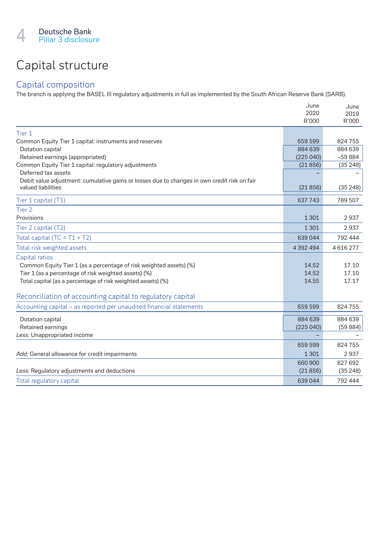## Capital structure

#### Capital composition

The branch is applying the BASEL III regulatory adjustments in full as implemented by the South African Reserve Bank (SARB).

|                                                                                              | June      | June     |
|----------------------------------------------------------------------------------------------|-----------|----------|
|                                                                                              | 2020      | 2019     |
|                                                                                              | R'000     | R'000    |
| Tier 1                                                                                       |           |          |
| Common Equity Tier 1 capital: instruments and reserves                                       | 659 599   | 824755   |
| Dotation capital                                                                             | 884 639   | 884 639  |
| Retained earnings (appropriated)                                                             | (225040)  | $-59884$ |
| Common Equity Tier 1 capital: regulatory adjustments                                         | (21856)   | (35248)  |
| Deferred tax assets                                                                          |           |          |
| Debit value adjustment: cumulative gains or losses due to changes in own credit risk on fair |           |          |
| valued liabilities                                                                           | (21856)   | (35248)  |
| Tier 1 capital (T1)                                                                          | 637 743   | 789 507  |
| Tier <sub>2</sub>                                                                            |           |          |
| Provisions                                                                                   | 1 3 0 1   | 2937     |
| Tier 2 capital (T2)                                                                          | 1 3 0 1   | 2937     |
| Total capital (TC = $T1 + T2$ )                                                              | 639 044   | 792 444  |
| Total risk weighted assets                                                                   | 4 392 494 | 4616277  |
| Capital ratios                                                                               |           |          |
| Common Equity Tier 1 (as a percentage of risk weighted assets) (%)                           | 14.52     | 17.10    |
| Tier 1 (as a percentage of risk weighted assets) (%)                                         | 14.52     | 17.10    |
| Total capital (as a percentage of risk weighted assets) (%)                                  | 14.55     | 17.17    |
| Reconciliation of accounting capital to regulatory capital                                   |           |          |
| Accounting capital – as reported per unaudited financial statements                          | 659 599   | 824755   |
| Dotation capital                                                                             | 884 639   | 884 639  |
| Retained earnings                                                                            | (225040)  | (59884)  |
| Less: Unappropriated income                                                                  |           |          |
|                                                                                              | 659 599   | 824755   |
| Add: General allowance for credit impairments                                                | 1 3 0 1   | 2937     |
|                                                                                              | 660 900   | 827 692  |
| Less: Regulatory adjustments and deductions                                                  | (21856)   | (35248)  |
| Total regulatory capital                                                                     | 639044    | 792 444  |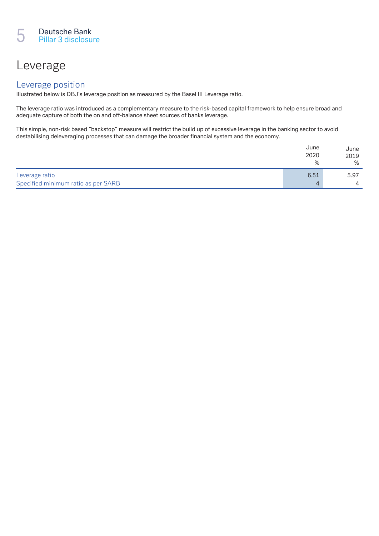### Leverage

#### Leverage position

Illustrated below is DBJ's leverage position as measured by the Basel III Leverage ratio.

The leverage ratio was introduced as a complementary measure to the risk-based capital framework to help ensure broad and adequate capture of both the on and off-balance sheet sources of banks leverage.

This simple, non-risk based "backstop" measure will restrict the build up of excessive leverage in the banking sector to avoid destabilising deleveraging processes that can damage the broader financial system and the economy.

|                                     | June<br>2020 | June<br>2019   |
|-------------------------------------|--------------|----------------|
|                                     | %            | %              |
| Leverage ratio                      | 6.51         | 5.97           |
| Specified minimum ratio as per SARB | $\Delta$     | $\overline{4}$ |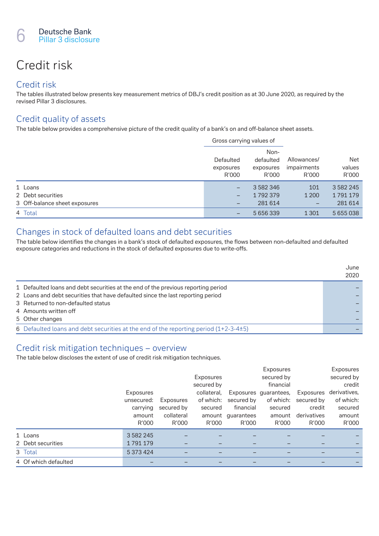## Credit risk

#### Credit risk

The tables illustrated below presents key measurement metrics of DBJ's credit position as at 30 June 2020, as required by the revised Pillar 3 disclosures.

#### Credit quality of assets

The table below provides a comprehensive picture of the credit quality of a bank's on and off-balance sheet assets.

|                               | Gross carrying values of        |                                         |                                     | Net<br>values<br>R'000 |
|-------------------------------|---------------------------------|-----------------------------------------|-------------------------------------|------------------------|
|                               | Defaulted<br>exposures<br>R'000 | Non-<br>defaulted<br>exposures<br>R'000 | Allowances/<br>impairments<br>R'000 |                        |
| 1 Loans                       | -                               | 3 582 346                               | 101                                 | 3 5 8 2 2 4 5          |
| 2 Debt securities             | -                               | 1792379                                 | 1 2 0 0                             | 1791179                |
| 3 Off-balance sheet exposures | -                               | 281 614                                 | -                                   | 281 614                |
| 4 Total                       | -                               | 5 6 5 6 3 3 9                           | 1 3 0 1                             | 5 655 038              |

#### Changes in stock of defaulted loans and debt securities

The table below identifies the changes in a bank's stock of defaulted exposures, the flows between non-defaulted and defaulted exposure categories and reductions in the stock of defaulted exposures due to write-offs.

|                                                                                      | June<br>2020 |
|--------------------------------------------------------------------------------------|--------------|
| 1 Defaulted loans and debt securities at the end of the previous reporting period    |              |
| 2 Loans and debt securities that have defaulted since the last reporting period      |              |
| 3 Returned to non-defaulted status                                                   |              |
| 4 Amounts written off                                                                |              |
| 5 Other changes                                                                      |              |
| 6 Defaulted loans and debt securities at the end of the reporting period (1+2-3-4±5) |              |

#### Credit risk mitigation techniques – overview

The table below discloses the extent of use of credit risk mitigation techniques.

|                      |               |            |             |            | Exposures             |             | Exposures    |
|----------------------|---------------|------------|-------------|------------|-----------------------|-------------|--------------|
|                      |               |            | Exposures   |            | secured by            |             | secured by   |
|                      |               |            | secured by  |            | financial             |             | credit       |
|                      | Exposures     |            | collateral. |            | Exposures quarantees, | Exposures   | derivatives, |
|                      | unsecured:    | Exposures  | of which:   | secured by | of which:             | secured by  | of which:    |
|                      | carrying      | secured by | secured     | financial  | secured               | credit      | secured      |
|                      | amount        | collateral | amount      | guarantees | amount                | derivatives | amount       |
|                      | R'000         | R'000      | R'000       | R'000      | R'000                 | R'000       | R'000        |
| 1 Loans              | 3 5 8 2 2 4 5 |            |             |            |                       |             |              |
| 2 Debt securities    | 1791179       |            |             |            |                       |             |              |
| 3 Total              | 5 373 424     |            |             |            |                       |             |              |
| 4 Of which defaulted |               |            |             |            |                       |             |              |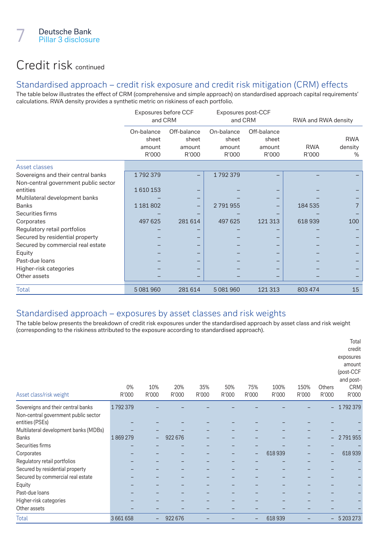### Credit risk continued

#### Standardised approach – credit risk exposure and credit risk mitigation (CRM) effects

The table below illustrates the effect of CRM (comprehensive and simple approach) on standardised approach capital requirements' calculations. RWA density provides a synthetic metric on riskiness of each portfolio.

|                                      | Exposures before CCF<br>and CRM        |                                         | Exposures post-CCF<br>and CRM          |                                         | RWA and RWA density |                               |
|--------------------------------------|----------------------------------------|-----------------------------------------|----------------------------------------|-----------------------------------------|---------------------|-------------------------------|
|                                      | On-balance<br>sheet<br>amount<br>R'000 | Off-balance<br>sheet<br>amount<br>R'000 | On-balance<br>sheet<br>amount<br>R'000 | Off-balance<br>sheet<br>amount<br>R'000 | <b>RWA</b><br>R'000 | <b>RWA</b><br>density<br>$\%$ |
| Asset classes                        |                                        |                                         |                                        |                                         |                     |                               |
| Sovereigns and their central banks   | 1792379                                |                                         | 1792379                                |                                         |                     |                               |
| Non-central government public sector |                                        |                                         |                                        |                                         |                     |                               |
| entities                             | 1610153                                |                                         |                                        |                                         |                     |                               |
| Multilateral development banks       |                                        |                                         |                                        |                                         |                     |                               |
| <b>Banks</b>                         | 1 1 8 1 8 0 2                          |                                         | 2791955                                |                                         | 184 535             |                               |
| Securities firms                     |                                        |                                         |                                        |                                         |                     |                               |
| Corporates                           | 497 625                                | 281 614                                 | 497 625                                | 121 313                                 | 618939              | 100                           |
| Regulatory retail portfolios         |                                        |                                         |                                        |                                         |                     |                               |
| Secured by residential property      |                                        |                                         |                                        |                                         |                     |                               |
| Secured by commercial real estate    |                                        |                                         |                                        |                                         |                     |                               |
| Equity                               |                                        |                                         |                                        |                                         |                     |                               |
| Past-due loans                       |                                        |                                         |                                        |                                         |                     |                               |
| Higher-risk categories               |                                        |                                         |                                        |                                         |                     |                               |
| Other assets                         |                                        |                                         |                                        |                                         |                     |                               |
| <b>Total</b>                         | 5 081 960                              | 281 614                                 | 5 081 960                              | 121 313                                 | 803 474             | 15                            |

#### Standardised approach – exposures by asset classes and risk weights

The table below presents the breakdown of credit risk exposures under the standardised approach by asset class and risk weight (corresponding to the riskiness attributed to the exposure according to standardised approach).

| Asset class/risk weight               | 0%<br>R'000 | 10%<br>R'000 | 20%<br>R'000 | 35%<br>R'000 | 50%<br>R'000 | 75%<br>R'000 | 100%<br>R'000 | 150%<br>R'000 | <b>Others</b><br>R'000 | Total<br>credit<br>exposures<br>amount<br>(post-CCF<br>and post-<br>CRM)<br>R'000 |
|---------------------------------------|-------------|--------------|--------------|--------------|--------------|--------------|---------------|---------------|------------------------|-----------------------------------------------------------------------------------|
| Sovereigns and their central banks    | 1792379     |              |              |              |              |              |               |               | -                      | 1792379                                                                           |
| Non-central government public sector  |             |              |              |              |              |              |               |               |                        |                                                                                   |
| entities (PSEs)                       |             |              |              |              |              |              |               |               |                        |                                                                                   |
| Multilateral development banks (MDBs) |             |              |              |              |              |              |               |               |                        |                                                                                   |
| <b>Banks</b>                          | 1869279     |              | 922 676      |              |              |              |               |               | -                      | 2791955                                                                           |
| Securities firms                      |             |              |              |              |              |              |               |               |                        |                                                                                   |
| Corporates                            |             |              |              |              |              |              | 618939        |               | $\qquad \qquad -$      | 618 939                                                                           |
| Regulatory retail portfolios          |             |              |              |              |              |              |               |               |                        |                                                                                   |
| Secured by residential property       |             |              |              |              |              |              |               |               |                        |                                                                                   |
| Secured by commercial real estate     |             |              |              |              |              |              |               |               |                        |                                                                                   |
| Equity                                |             |              |              |              |              |              |               |               |                        |                                                                                   |
| Past-due loans                        |             |              |              |              |              |              |               |               |                        |                                                                                   |
| Higher-risk categories                |             |              |              |              |              |              |               |               |                        |                                                                                   |
| Other assets                          |             |              |              |              |              |              |               |               |                        |                                                                                   |
| <b>Total</b>                          | 3661658     |              | 922 676      |              |              |              | 618939        |               | -                      | 5 203 273                                                                         |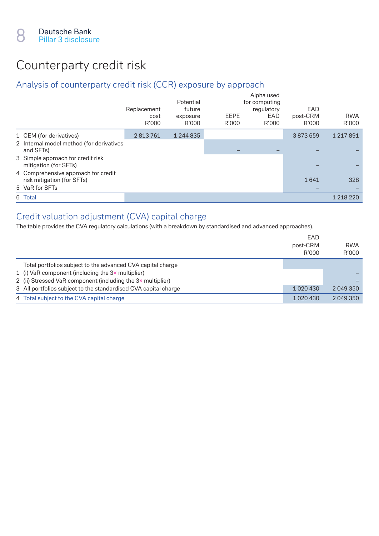## Counterparty credit risk

#### Analysis of counterparty credit risk (CCR) exposure by approach

|                                                                   | Replacement<br>cost<br>R'000 | Potential<br>future<br>exposure<br>R'000 | EEPE<br>R'000 | Alpha used<br>for computing<br>regulatory<br>EAD<br>R'000 | EAD<br>post-CRM<br>R'000 | <b>RWA</b><br>R'000 |
|-------------------------------------------------------------------|------------------------------|------------------------------------------|---------------|-----------------------------------------------------------|--------------------------|---------------------|
| 1 CEM (for derivatives)                                           | 2813761                      | 1 244 835                                |               |                                                           | 3873659                  | 1 217 891           |
| 2 Internal model method (for derivatives<br>and SFTs)             |                              |                                          |               |                                                           |                          |                     |
| 3 Simple approach for credit risk<br>mitigation (for SFTs)        |                              |                                          |               |                                                           |                          |                     |
| 4 Comprehensive approach for credit<br>risk mitigation (for SFTs) |                              |                                          |               |                                                           | 1641                     | 328                 |
| 5 VaR for SFTs                                                    |                              |                                          |               |                                                           |                          |                     |
| 6 Total                                                           |                              |                                          |               |                                                           |                          | 1 218 220           |

#### Credit valuation adjustment (CVA) capital charge

The table provides the CVA regulatory calculations (with a breakdown by standardised and advanced approaches).

|                                                                 | EAD<br>post-CRM<br>R'000 | <b>RWA</b><br>R'000 |
|-----------------------------------------------------------------|--------------------------|---------------------|
| Total portfolios subject to the advanced CVA capital charge     |                          |                     |
| 1 (i) VaR component (including the $3\times$ multiplier)        |                          |                     |
| 2 (ii) Stressed VaR component (including the 3x multiplier)     |                          |                     |
| 3 All portfolios subject to the standardised CVA capital charge | 1 0 2 0 4 3 0            | 2 049 350           |
| 4 Total subject to the CVA capital charge                       | 1 0 2 0 4 3 0            | 2 049 350           |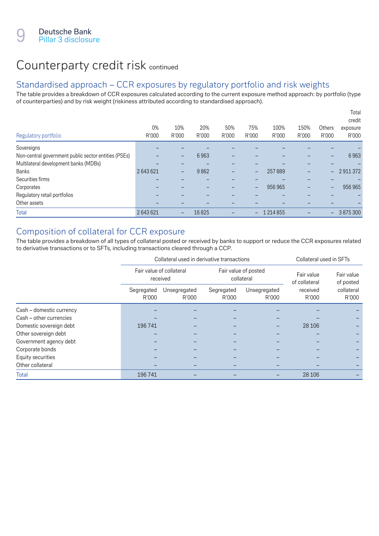### Counterparty credit risk continued

#### Standardised approach – CCR exposures by regulatory portfolio and risk weights

The table provides a breakdown of CCR exposures calculated according to the current exposure method approach: by portfolio (type of counterparties) and by risk weight (riskiness attributed according to standardised approach).

| Regulatory portfolio                                 | $0\%$<br>R'000 | 10%<br>R'000 | 20%<br>R'000 | 50%<br>R'000 | 75%<br>R'000    | 100%<br>R'000 | 150%<br>R'000 | Others<br>R'000          | Total<br>credit<br>exposure<br>R'000 |
|------------------------------------------------------|----------------|--------------|--------------|--------------|-----------------|---------------|---------------|--------------------------|--------------------------------------|
| Sovereigns                                           |                |              |              |              |                 |               |               |                          |                                      |
| Non-central government public sector entities (PSEs) |                | -            | 6963         |              |                 |               |               | $\qquad \qquad$          | 6963                                 |
| Multilateral development banks (MDBs)                |                |              |              |              |                 |               |               |                          |                                      |
| <b>Banks</b>                                         | 2643621        | -            | 9862         | -            | -               | 257889        | -             | $\overline{\phantom{0}}$ | 2911372                              |
| Securities firms                                     |                |              |              |              |                 |               |               |                          |                                      |
| Corporates                                           |                |              |              |              | $\qquad \qquad$ | 956 965       | -             | $\qquad \qquad -$        | 956 965                              |
| Regulatory retail portfolios                         |                |              |              |              |                 |               |               |                          |                                      |
| Other assets                                         |                |              |              |              |                 |               |               |                          |                                      |
| <b>Total</b>                                         | 2643621        | -            | 16825        |              | -               | 1 2 1 4 8 5 5 |               | $\sim$                   | 3875300                              |

#### Composition of collateral for CCR exposure

The table provides a breakdown of all types of collateral posted or received by banks to support or reduce the CCR exposures related to derivative transactions or to SFTs, including transactions cleared through a CCP.

|                          |                                      | Collateral used in derivative transactions | Collateral used in SFTs |                                    |                             |                         |
|--------------------------|--------------------------------------|--------------------------------------------|-------------------------|------------------------------------|-----------------------------|-------------------------|
|                          | Fair value of collateral<br>received |                                            |                         | Fair value of posted<br>collateral | Fair value<br>of collateral | Fair value<br>of posted |
|                          | Segregated<br>R'000                  | Unsegregated<br>R'000                      | Segregated<br>R'000     | Unsegregated<br>R'000              | received<br>R'000           | collateral<br>R'000     |
| Cash - domestic currency |                                      |                                            |                         |                                    |                             |                         |
| Cash – other currencies  |                                      |                                            |                         |                                    |                             |                         |
| Domestic sovereign debt  | 196 741                              |                                            |                         |                                    | 28 10 6                     |                         |
| Other sovereign debt     |                                      |                                            |                         |                                    |                             |                         |
| Government agency debt   |                                      |                                            |                         |                                    |                             |                         |
| Corporate bonds          |                                      |                                            |                         |                                    |                             |                         |
| Equity securities        |                                      |                                            |                         |                                    |                             |                         |
| Other collateral         |                                      |                                            |                         |                                    |                             |                         |
| <b>Total</b>             | 196 741                              |                                            |                         |                                    | 28 10 6                     |                         |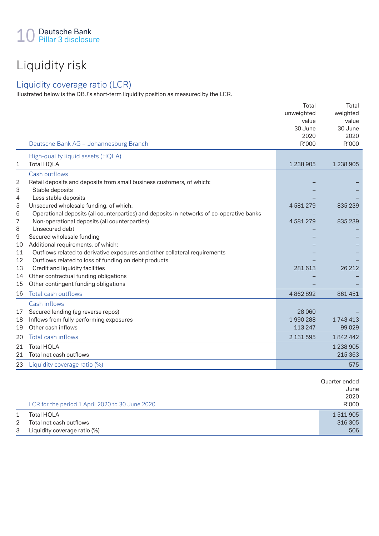## Liquidity risk

#### Liquidity coverage ratio (LCR)

Illustrated below is the DBJ's short-term liquidity position as measured by the LCR.

|                | Deutsche Bank AG - Johannesburg Branch                                                                           | Total<br>unweighted<br>value<br>30 June<br>2020<br>R'000 | Total<br>weighted<br>value<br>30 June<br>2020<br>R'000 |
|----------------|------------------------------------------------------------------------------------------------------------------|----------------------------------------------------------|--------------------------------------------------------|
|                | High-quality liquid assets (HQLA)                                                                                |                                                          |                                                        |
| 1              | <b>Total HQLA</b>                                                                                                | 1 238 905                                                | 1 238 905                                              |
|                | Cash outflows                                                                                                    |                                                          |                                                        |
| $\overline{2}$ | Retail deposits and deposits from small business customers, of which:                                            |                                                          |                                                        |
| 3              | Stable deposits                                                                                                  |                                                          |                                                        |
| 4              | Less stable deposits                                                                                             |                                                          |                                                        |
| 5              | Unsecured wholesale funding, of which:                                                                           | 4581279                                                  | 835 239                                                |
| 6              | Operational deposits (all counterparties) and deposits in networks of co-operative banks                         |                                                          |                                                        |
| 7              | Non-operational deposits (all counterparties)                                                                    | 4581279                                                  | 835 239                                                |
| 8              | Unsecured debt                                                                                                   |                                                          |                                                        |
| 9              | Secured wholesale funding                                                                                        |                                                          |                                                        |
| 10<br>11       | Additional requirements, of which:<br>Outflows related to derivative exposures and other collateral requirements |                                                          |                                                        |
| 12             | Outflows related to loss of funding on debt products                                                             |                                                          |                                                        |
| 13             | Credit and liquidity facilities                                                                                  | 281 613                                                  | 26 212                                                 |
| 14             | Other contractual funding obligations                                                                            |                                                          |                                                        |
| 15             | Other contingent funding obligations                                                                             |                                                          |                                                        |
| 16             | Total cash outflows                                                                                              |                                                          |                                                        |
|                |                                                                                                                  | 4862892                                                  | 861 451                                                |
|                | Cash inflows                                                                                                     |                                                          |                                                        |
| 17             | Secured lending (eg reverse repos)                                                                               | 28 060                                                   |                                                        |
| 18             | Inflows from fully performing exposures                                                                          | 1990288                                                  | 1743413                                                |
| 19             | Other cash inflows                                                                                               | 113 247                                                  | 99 0 29                                                |
| 20             | Total cash inflows                                                                                               | 2 131 595                                                | 1842442                                                |
| 21             | <b>Total HQLA</b>                                                                                                |                                                          | 1 238 905                                              |
| 21             | Total net cash outflows                                                                                          |                                                          | 215 363                                                |
| 23             | Liquidity coverage ratio (%)                                                                                     |                                                          | 575                                                    |
|                | LCR for the period 1 April 2020 to 30 June 2020                                                                  |                                                          | Quarter ended<br>June<br>2020<br>R'000                 |
|                |                                                                                                                  |                                                          |                                                        |

2 Total net cash outflows 316 305

3 Liquidity coverage ratio (%) 606 September 2014 10 September 2014 10:30 September 2014 10:30 September 2016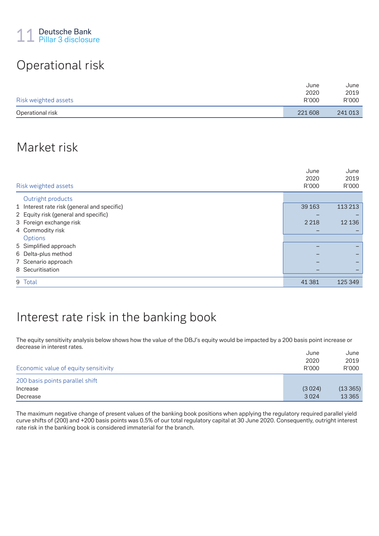## Operational risk

|                      | June    | June    |
|----------------------|---------|---------|
|                      | 2020    | 2019    |
| Risk weighted assets | R'000   | R'000   |
| Operational risk     | 221 608 | 241 013 |

### Market risk

| Risk weighted assets                        | June<br>2020<br>R'000 | June<br>2019<br>R'000 |
|---------------------------------------------|-----------------------|-----------------------|
| Outright products                           |                       |                       |
| 1 Interest rate risk (general and specific) | 39 1 63               | 113 213               |
| 2 Equity risk (general and specific)        |                       |                       |
| 3 Foreign exchange risk                     | 2 2 1 8               | 12 136                |
| 4 Commodity risk                            |                       |                       |
| Options                                     |                       |                       |
| 5 Simplified approach                       |                       |                       |
| 6 Delta-plus method                         |                       |                       |
| 7 Scenario approach                         |                       |                       |
| 8 Securitisation                            |                       |                       |
| 9 Total                                     | 41 381                | 125 349               |

### Interest rate risk in the banking book

The equity sensitivity analysis below shows how the value of the DBJ's equity would be impacted by a 200 basis point increase or decrease in interest rates.

|                                      | June   | June    |
|--------------------------------------|--------|---------|
|                                      | 2020   | 2019    |
| Economic value of equity sensitivity | R'000  | R'000   |
| 200 basis points parallel shift      |        |         |
| Increase                             | (3024) | (13365) |
| Decrease                             | 3024   | 13 3 65 |

The maximum negative change of present values of the banking book positions when applying the regulatory required parallel yield curve shifts of (200) and +200 basis points was 0.5% of our total regulatory capital at 30 June 2020. Consequently, outright interest rate risk in the banking book is considered immaterial for the branch.